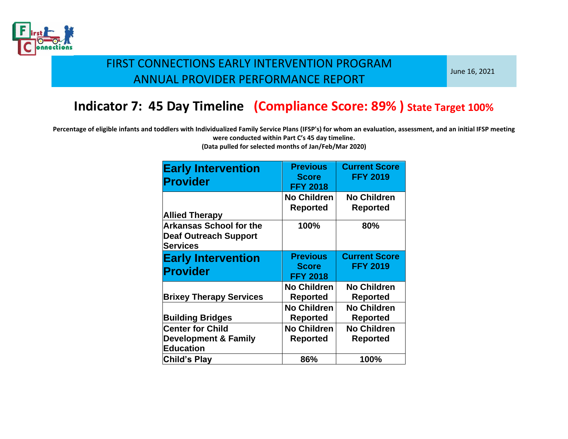

June 16, 2021

## **Indicator 7: 45 Day Timeline (Compliance Score: 89% ) State Target 100%**

**Percentage of eligible infants and toddlers with Individualized Family Service Plans (IFSP's) for whom an evaluation, assessment, and an initial IFSP meeting were conducted within Part C's 45 day timeline.** 

| <b>Early Intervention</b><br><b>Provider</b>                                      | <b>Previous</b><br><b>Score</b><br><b>FFY 2018</b> | <b>Current Score</b><br><b>FFY 2019</b> |
|-----------------------------------------------------------------------------------|----------------------------------------------------|-----------------------------------------|
| <b>Allied Therapy</b>                                                             | <b>No Children</b><br><b>Reported</b>              | <b>No Children</b><br><b>Reported</b>   |
| <b>Arkansas School for the</b><br><b>Deaf Outreach Support</b><br><b>Services</b> | 100%                                               | 80%                                     |
| <b>Early Intervention</b><br>Provider                                             | <b>Previous</b><br><b>Score</b><br><b>FFY 2018</b> | <b>Current Score</b><br><b>FFY 2019</b> |
| <b>Brixey Therapy Services</b>                                                    | <b>No Children</b><br>Reported                     | <b>No Children</b><br><b>Reported</b>   |
| <b>Building Bridges</b>                                                           | <b>No Children</b><br><b>Reported</b>              | <b>No Children</b><br><b>Reported</b>   |
| <b>Center for Child</b><br><b>Development &amp; Family</b><br><b>Education</b>    | <b>No Children</b><br><b>Reported</b>              | <b>No Children</b><br><b>Reported</b>   |
| Child's Play                                                                      | 86%                                                | 100%                                    |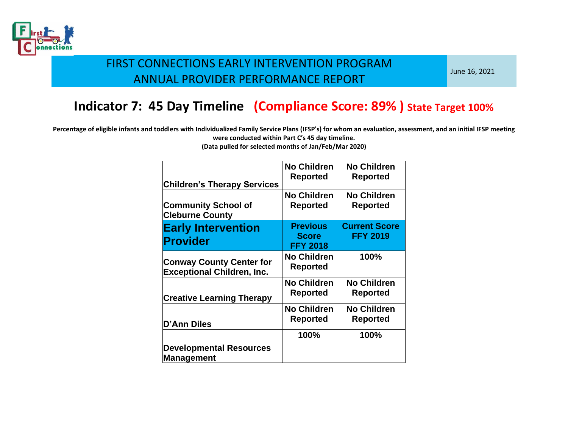

June 16, 2021

# **Indicator 7: 45 Day Timeline (Compliance Score: 89% ) State Target 100%**

**Percentage of eligible infants and toddlers with Individualized Family Service Plans (IFSP's) for whom an evaluation, assessment, and an initial IFSP meeting were conducted within Part C's 45 day timeline.** 

| <b>Children's Therapy Services</b>                                   | <b>No Children</b><br>Reported                     | <b>No Children</b><br><b>Reported</b>   |
|----------------------------------------------------------------------|----------------------------------------------------|-----------------------------------------|
| <b>Community School of</b><br><b>Cleburne County</b>                 | <b>No Children</b><br>Reported                     | <b>No Children</b><br><b>Reported</b>   |
| <b>Early Intervention</b><br><b>Provider</b>                         | <b>Previous</b><br><b>Score</b><br><b>FFY 2018</b> | <b>Current Score</b><br><b>FFY 2019</b> |
| <b>Conway County Center for</b><br><b>Exceptional Children, Inc.</b> | <b>No Children</b><br>Reported                     | 100%                                    |
| <b>Creative Learning Therapy</b>                                     | <b>No Children</b><br>Reported                     | <b>No Children</b><br>Reported          |
| <b>D'Ann Diles</b>                                                   | <b>No Children</b><br>Reported                     | <b>No Children</b><br><b>Reported</b>   |
| <b>Developmental Resources</b><br>Management                         | 100%                                               | 100%                                    |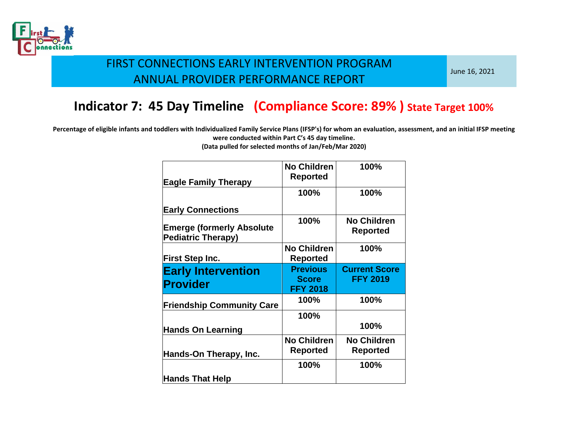

June 16, 2021

# **Indicator 7: 45 Day Timeline (Compliance Score: 89% ) State Target 100%**

**Percentage of eligible infants and toddlers with Individualized Family Service Plans (IFSP's) for whom an evaluation, assessment, and an initial IFSP meeting were conducted within Part C's 45 day timeline.** 

| <b>Eagle Family Therapy</b>                                   | <b>No Children</b><br>Reported                     | 100%                                    |
|---------------------------------------------------------------|----------------------------------------------------|-----------------------------------------|
|                                                               | 100%                                               | 100%                                    |
| <b>Early Connections</b>                                      |                                                    |                                         |
| <b>Emerge (formerly Absolute</b><br><b>Pediatric Therapy)</b> | 100%                                               | <b>No Children</b><br><b>Reported</b>   |
| <b>First Step Inc.</b>                                        | <b>No Children</b><br>Reported                     | 100%                                    |
| <b>Early Intervention</b><br>Provider                         | <b>Previous</b><br><b>Score</b><br><b>FFY 2018</b> | <b>Current Score</b><br><b>FFY 2019</b> |
| <b>Friendship Community Care</b>                              | 100%                                               | 100%                                    |
| <b>Hands On Learning</b>                                      | 100%                                               | 100%                                    |
| Hands-On Therapy, Inc.                                        | <b>No Children</b><br><b>Reported</b>              | <b>No Children</b><br><b>Reported</b>   |
| <b>Hands That Help</b>                                        | 100%                                               | 100%                                    |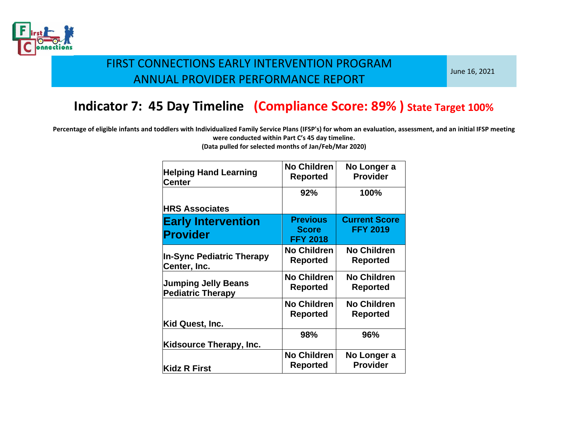

June 16, 2021

# **Indicator 7: 45 Day Timeline (Compliance Score: 89% ) State Target 100%**

**Percentage of eligible infants and toddlers with Individualized Family Service Plans (IFSP's) for whom an evaluation, assessment, and an initial IFSP meeting were conducted within Part C's 45 day timeline.** 

| <b>Helping Hand Learning</b><br>Center                 | <b>No Children</b><br><b>Reported</b>              | No Longer a<br><b>Provider</b>          |
|--------------------------------------------------------|----------------------------------------------------|-----------------------------------------|
|                                                        | 92%                                                | 100%                                    |
| <b>HRS Associates</b>                                  |                                                    |                                         |
| <b>Early Intervention</b><br><b>Provider</b>           | <b>Previous</b><br><b>Score</b><br><b>FFY 2018</b> | <b>Current Score</b><br><b>FFY 2019</b> |
| <b>In-Sync Pediatric Therapy</b><br>Center, Inc.       | <b>No Children</b><br>Reported                     | <b>No Children</b><br><b>Reported</b>   |
| <b>Jumping Jelly Beans</b><br><b>Pediatric Therapy</b> | <b>No Children</b><br><b>Reported</b>              | <b>No Children</b><br><b>Reported</b>   |
| Kid Quest, Inc.                                        | <b>No Children</b><br>Reported                     | <b>No Children</b><br><b>Reported</b>   |
| Kidsource Therapy, Inc.                                | 98%                                                | 96%                                     |
| <b>Kidz R First</b>                                    | <b>No Children</b><br>Reported                     | No Longer a<br><b>Provider</b>          |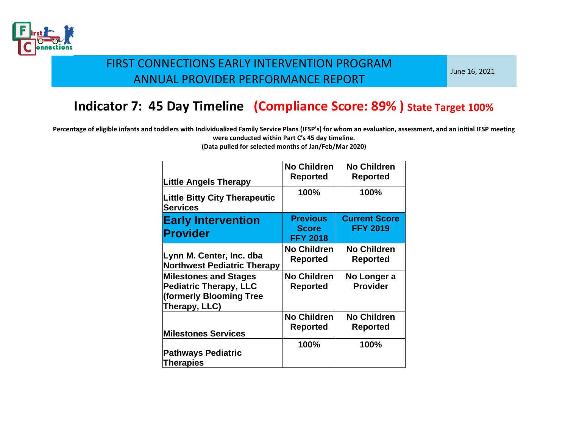

June 16, 2021

# **Indicator 7: 45 Day Timeline (Compliance Score: 89% ) State Target 100%**

**Percentage of eligible infants and toddlers with Individualized Family Service Plans (IFSP's) for whom an evaluation, assessment, and an initial IFSP meeting were conducted within Part C's 45 day timeline.** 

| <b>Little Angels Therapy</b>                                                                              | <b>No Children</b><br>Reported                     | <b>No Children</b><br><b>Reported</b>   |
|-----------------------------------------------------------------------------------------------------------|----------------------------------------------------|-----------------------------------------|
| <b>Little Bitty City Therapeutic</b><br><b>Services</b>                                                   | 100%                                               | 100%                                    |
| <b>Early Intervention</b><br>Provider                                                                     | <b>Previous</b><br><b>Score</b><br><b>FFY 2018</b> | <b>Current Score</b><br><b>FFY 2019</b> |
| Lynn M. Center, Inc. dba<br><b>Northwest Pediatric Therapy</b>                                            | <b>No Children</b><br>Reported                     | <b>No Children</b><br><b>Reported</b>   |
| <b>Milestones and Stages</b><br><b>Pediatric Therapy, LLC</b><br>(formerly Blooming Tree<br>Therapy, LLC) | <b>No Children</b><br>Reported                     | No Longer a<br><b>Provider</b>          |
| <b>Milestones Services</b>                                                                                | <b>No Children</b><br>Reported                     | <b>No Children</b><br><b>Reported</b>   |
| <b>Pathways Pediatric</b><br><b>Therapies</b>                                                             | 100%                                               | 100%                                    |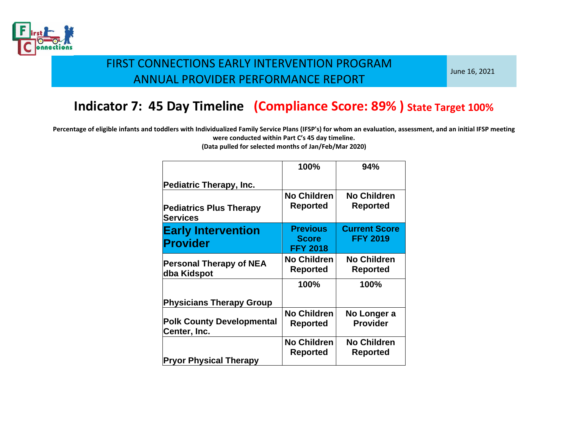

June 16, 2021

# **Indicator 7: 45 Day Timeline (Compliance Score: 89% ) State Target 100%**

**Percentage of eligible infants and toddlers with Individualized Family Service Plans (IFSP's) for whom an evaluation, assessment, and an initial IFSP meeting were conducted within Part C's 45 day timeline.** 

|                                                   | 100%                                               | 94%                                     |
|---------------------------------------------------|----------------------------------------------------|-----------------------------------------|
| <b>Pediatric Therapy, Inc.</b>                    |                                                    |                                         |
| <b>Pediatrics Plus Therapy</b><br><b>Services</b> | <b>No Children</b><br>Reported                     | <b>No Children</b><br><b>Reported</b>   |
| <b>Early Intervention</b><br><b>Provider</b>      | <b>Previous</b><br><b>Score</b><br><b>FFY 2018</b> | <b>Current Score</b><br><b>FFY 2019</b> |
| <b>Personal Therapy of NEA</b><br>dba Kidspot     | <b>No Children</b><br>Reported                     | <b>No Children</b><br><b>Reported</b>   |
|                                                   | 100%                                               | 100%                                    |
| <b>Physicians Therapy Group</b>                   |                                                    |                                         |
| <b>Polk County Developmental</b><br>Center, Inc.  | <b>No Children</b><br><b>Reported</b>              | No Longer a<br><b>Provider</b>          |
| <b>Pryor Physical Therapy</b>                     | <b>No Children</b><br>Reported                     | <b>No Children</b><br><b>Reported</b>   |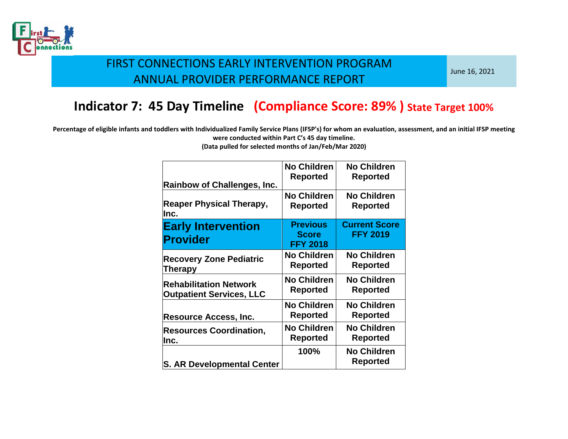

June 16, 2021

# **Indicator 7: 45 Day Timeline (Compliance Score: 89% ) State Target 100%**

**Percentage of eligible infants and toddlers with Individualized Family Service Plans (IFSP's) for whom an evaluation, assessment, and an initial IFSP meeting were conducted within Part C's 45 day timeline.** 

| <b>Rainbow of Challenges, Inc.</b>           | <b>No Children</b><br>Reported                     | <b>No Children</b><br><b>Reported</b>   |
|----------------------------------------------|----------------------------------------------------|-----------------------------------------|
| <b>Reaper Physical Therapy,</b>              | No Children                                        | <b>No Children</b>                      |
| lnc.                                         | Reported                                           | <b>Reported</b>                         |
| <b>Early Intervention</b><br><b>Provider</b> | <b>Previous</b><br><b>Score</b><br><b>FFY 2018</b> | <b>Current Score</b><br><b>FFY 2019</b> |
| <b>Recovery Zone Pediatric</b>               | <b>No Children</b>                                 | <b>No Children</b>                      |
| Therapy                                      | Reported                                           | <b>Reported</b>                         |
| <b>Rehabilitation Network</b>                | <b>No Children</b>                                 | <b>No Children</b>                      |
| <b>Outpatient Services, LLC</b>              | Reported                                           | <b>Reported</b>                         |
| <b>Resource Access, Inc.</b>                 | <b>No Children</b><br>Reported                     | <b>No Children</b><br><b>Reported</b>   |
| <b>Resources Coordination,</b>               | <b>No Children</b>                                 | <b>No Children</b>                      |
| lnc.                                         | Reported                                           | <b>Reported</b>                         |
| <b>S. AR Developmental Center</b>            | 100%                                               | <b>No Children</b><br><b>Reported</b>   |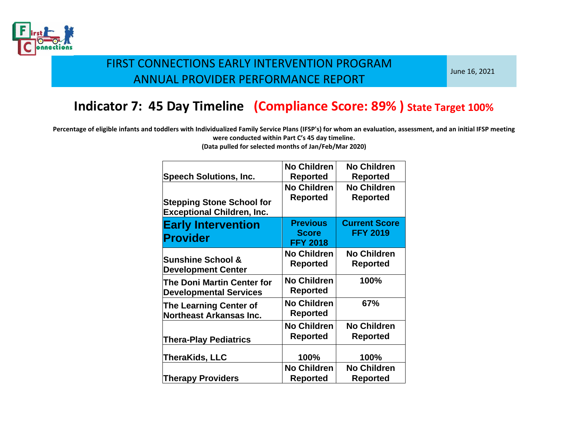

June 16, 2021

# **Indicator 7: 45 Day Timeline (Compliance Score: 89% ) State Target 100%**

**Percentage of eligible infants and toddlers with Individualized Family Service Plans (IFSP's) for whom an evaluation, assessment, and an initial IFSP meeting were conducted within Part C's 45 day timeline.** 

|                                                                       | <b>No Children</b>                                 | <b>No Children</b>                      |
|-----------------------------------------------------------------------|----------------------------------------------------|-----------------------------------------|
| <b>Speech Solutions, Inc.</b>                                         | <b>Reported</b>                                    | Reported                                |
| <b>Stepping Stone School for</b><br><b>Exceptional Children, Inc.</b> | <b>No Children</b><br><b>Reported</b>              | <b>No Children</b><br><b>Reported</b>   |
| <b>Early Intervention</b><br><b>Provider</b>                          | <b>Previous</b><br><b>Score</b><br><b>FFY 2018</b> | <b>Current Score</b><br><b>FFY 2019</b> |
| <b>Sunshine School &amp;</b><br><b>Development Center</b>             | <b>No Children</b><br>Reported                     | <b>No Children</b><br><b>Reported</b>   |
| The Doni Martin Center for<br><b>Developmental Services</b>           | <b>No Children</b><br>Reported                     | 100%                                    |
| <b>The Learning Center of</b><br><b>Northeast Arkansas Inc.</b>       | <b>No Children</b><br>Reported                     | 67%                                     |
| <b>Thera-Play Pediatrics</b>                                          | <b>No Children</b><br><b>Reported</b>              | <b>No Children</b><br>Reported          |
| TheraKids, LLC                                                        | 100%                                               | 100%                                    |
| <b>Therapy Providers</b>                                              | <b>No Children</b><br>Reported                     | <b>No Children</b><br>Reported          |